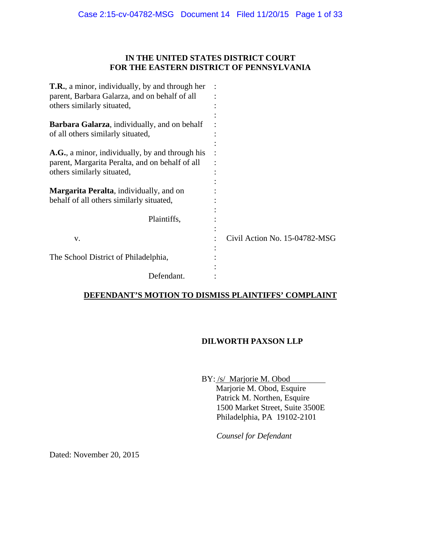## **IN THE UNITED STATES DISTRICT COURT FOR THE EASTERN DISTRICT OF PENNSYLVANIA**

| <b>T.R.</b> , a minor, individually, by and through her                                   |                               |
|-------------------------------------------------------------------------------------------|-------------------------------|
| parent, Barbara Galarza, and on behalf of all                                             |                               |
| others similarly situated,                                                                |                               |
| <b>Barbara Galarza</b> , individually, and on behalf<br>of all others similarly situated, |                               |
| A.G., a minor, individually, by and through his                                           |                               |
| parent, Margarita Peralta, and on behalf of all                                           |                               |
| others similarly situated,                                                                |                               |
|                                                                                           |                               |
| <b>Margarita Peralta</b> , individually, and on                                           |                               |
| behalf of all others similarly situated,                                                  |                               |
|                                                                                           |                               |
| Plaintiffs,                                                                               |                               |
|                                                                                           |                               |
| V.                                                                                        | Civil Action No. 15-04782-MSG |
|                                                                                           |                               |
| The School District of Philadelphia,                                                      |                               |
| Defendant.                                                                                |                               |

## **DEFENDANT'S MOTION TO DISMISS PLAINTIFFS' COMPLAINT**

## **DILWORTH PAXSON LLP**

BY: /s/ Marjorie M. Obod Marjorie M. Obod, Esquire Patrick M. Northen, Esquire 1500 Market Street, Suite 3500E Philadelphia, PA 19102-2101

*Counsel for Defendant* 

Dated: November 20, 2015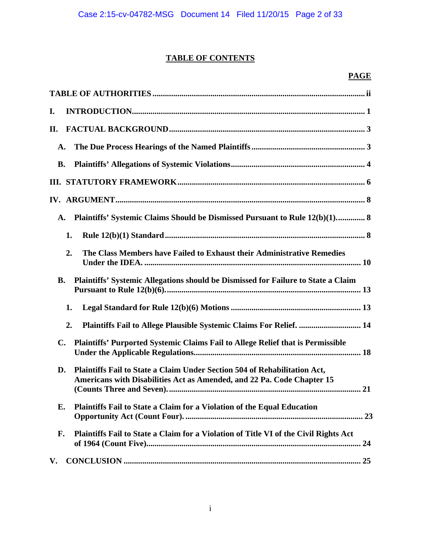# **TABLE OF CONTENTS**

# **PAGE**

| I.                                                                                                                                                        |
|-----------------------------------------------------------------------------------------------------------------------------------------------------------|
| II.                                                                                                                                                       |
| A.                                                                                                                                                        |
| <b>B.</b>                                                                                                                                                 |
|                                                                                                                                                           |
|                                                                                                                                                           |
| Plaintiffs' Systemic Claims Should be Dismissed Pursuant to Rule 12(b)(1) 8<br>A.                                                                         |
| 1.                                                                                                                                                        |
| 2.<br>The Class Members have Failed to Exhaust their Administrative Remedies                                                                              |
| Plaintiffs' Systemic Allegations should be Dismissed for Failure to State a Claim<br><b>B.</b>                                                            |
| 1.                                                                                                                                                        |
| Plaintiffs Fail to Allege Plausible Systemic Claims For Relief.  14<br>2.                                                                                 |
| Plaintiffs' Purported Systemic Claims Fail to Allege Relief that is Permissible<br>$\mathbf{C}$ .                                                         |
| Plaintiffs Fail to State a Claim Under Section 504 of Rehabilitation Act,<br>D.<br>Americans with Disabilities Act as Amended, and 22 Pa. Code Chapter 15 |
| Plaintiffs Fail to State a Claim for a Violation of the Equal Education<br>Е.                                                                             |
| Plaintiffs Fail to State a Claim for a Violation of Title VI of the Civil Rights Act<br>F.                                                                |
| V.                                                                                                                                                        |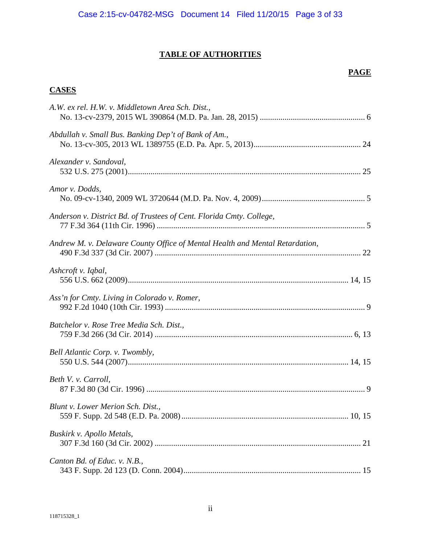# **TABLE OF AUTHORITIES**

# **PAGE**

## **CASES**

| A.W. ex rel. H.W. v. Middletown Area Sch. Dist.,                             |
|------------------------------------------------------------------------------|
| Abdullah v. Small Bus. Banking Dep't of Bank of Am.,                         |
| Alexander v. Sandoval,                                                       |
| Amor v. Dodds,                                                               |
| Anderson v. District Bd. of Trustees of Cent. Florida Cmty. College,         |
| Andrew M. v. Delaware County Office of Mental Health and Mental Retardation, |
| Ashcroft v. Iqbal,                                                           |
| Ass'n for Cmty. Living in Colorado v. Romer,                                 |
| Batchelor v. Rose Tree Media Sch. Dist.,                                     |
| Bell Atlantic Corp. v. Twombly,                                              |
| Beth V. v. Carroll,                                                          |
| Blunt v. Lower Merion Sch. Dist.,                                            |
| Buskirk v. Apollo Metals,                                                    |
| Canton Bd. of Educ. v. N.B.,                                                 |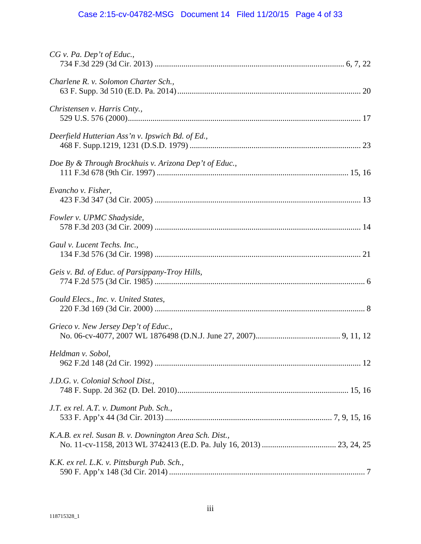# Case 2:15-cv-04782-MSG Document 14 Filed 11/20/15 Page 4 of 33

| $CG$ v. Pa. Dep't of Educ.,                            |
|--------------------------------------------------------|
| Charlene R. v. Solomon Charter Sch.,                   |
| Christensen v. Harris Cnty.,                           |
| Deerfield Hutterian Ass'n v. Ipswich Bd. of Ed.,       |
| Doe By & Through Brockhuis v. Arizona Dep't of Educ.,  |
| Evancho v. Fisher,                                     |
| Fowler v. UPMC Shadyside,                              |
| Gaul v. Lucent Techs. Inc.,                            |
| Geis v. Bd. of Educ. of Parsippany-Troy Hills,         |
| Gould Elecs., Inc. v. United States,                   |
| Grieco v. New Jersey Dep't of Educ.,                   |
| Heldman v. Sobol,                                      |
| J.D.G. v. Colonial School Dist.,                       |
| J.T. ex rel. A.T. v. Dumont Pub. Sch.,                 |
| K.A.B. ex rel. Susan B. v. Downington Area Sch. Dist., |
| K.K. ex rel. L.K. v. Pittsburgh Pub. Sch.,             |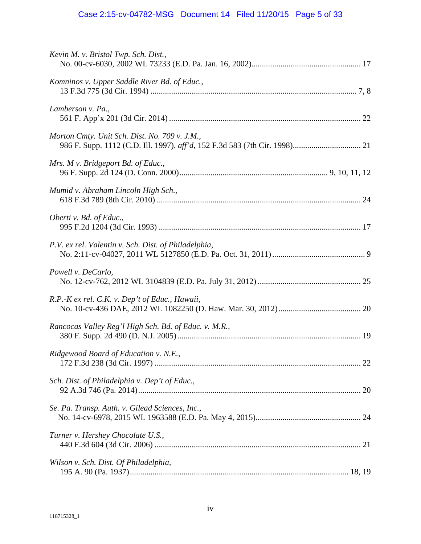# Case 2:15-cv-04782-MSG Document 14 Filed 11/20/15 Page 5 of 33

| Kevin M. v. Bristol Twp. Sch. Dist.,                  |  |
|-------------------------------------------------------|--|
| Komninos v. Upper Saddle River Bd. of Educ.,          |  |
| Lamberson v. Pa.,                                     |  |
| Morton Cmty. Unit Sch. Dist. No. 709 v. J.M.,         |  |
| Mrs. M v. Bridgeport Bd. of Educ.,                    |  |
| Mumid v. Abraham Lincoln High Sch.,                   |  |
| Oberti v. Bd. of Educ.,                               |  |
| P.V. ex rel. Valentin v. Sch. Dist. of Philadelphia,  |  |
| Powell v. DeCarlo,                                    |  |
| R.P.-K ex rel. C.K. v. Dep't of Educ., Hawaii,        |  |
| Rancocas Valley Reg'l High Sch. Bd. of Educ. v. M.R., |  |
| Ridgewood Board of Education v. N.E.,                 |  |
| Sch. Dist. of Philadelphia v. Dep't of Educ.,         |  |
| Se. Pa. Transp. Auth. v. Gilead Sciences, Inc.,       |  |
| Turner v. Hershey Chocolate U.S.,                     |  |
| Wilson v. Sch. Dist. Of Philadelphia,                 |  |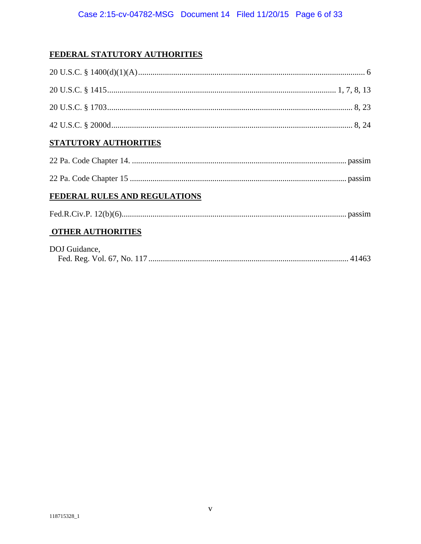# FEDERAL STATUTORY AUTHORITIES

| STATUTORY AUTHORITIES         |  |
|-------------------------------|--|
|                               |  |
|                               |  |
| FEDERAL RULES AND REGULATIONS |  |
|                               |  |
| <b>OTHER AUTHORITIES</b>      |  |
| DOJ Guidance,                 |  |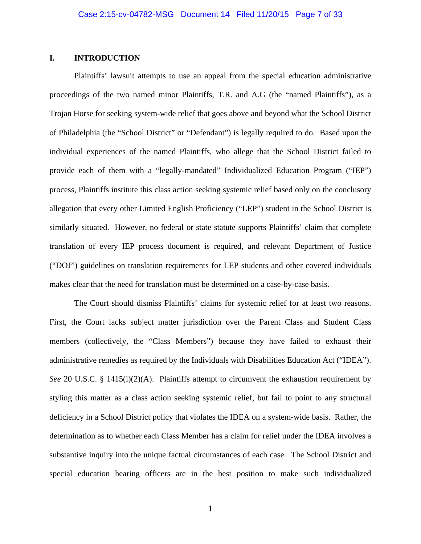## **I. INTRODUCTION**

Plaintiffs' lawsuit attempts to use an appeal from the special education administrative proceedings of the two named minor Plaintiffs, T.R. and A.G (the "named Plaintiffs"), as a Trojan Horse for seeking system-wide relief that goes above and beyond what the School District of Philadelphia (the "School District" or "Defendant") is legally required to do. Based upon the individual experiences of the named Plaintiffs, who allege that the School District failed to provide each of them with a "legally-mandated" Individualized Education Program ("IEP") process, Plaintiffs institute this class action seeking systemic relief based only on the conclusory allegation that every other Limited English Proficiency ("LEP") student in the School District is similarly situated. However, no federal or state statute supports Plaintiffs' claim that complete translation of every IEP process document is required, and relevant Department of Justice ("DOJ") guidelines on translation requirements for LEP students and other covered individuals makes clear that the need for translation must be determined on a case-by-case basis.

The Court should dismiss Plaintiffs' claims for systemic relief for at least two reasons. First, the Court lacks subject matter jurisdiction over the Parent Class and Student Class members (collectively, the "Class Members") because they have failed to exhaust their administrative remedies as required by the Individuals with Disabilities Education Act ("IDEA"). *See* 20 U.S.C. § 1415(i)(2)(A). Plaintiffs attempt to circumvent the exhaustion requirement by styling this matter as a class action seeking systemic relief, but fail to point to any structural deficiency in a School District policy that violates the IDEA on a system-wide basis. Rather, the determination as to whether each Class Member has a claim for relief under the IDEA involves a substantive inquiry into the unique factual circumstances of each case. The School District and special education hearing officers are in the best position to make such individualized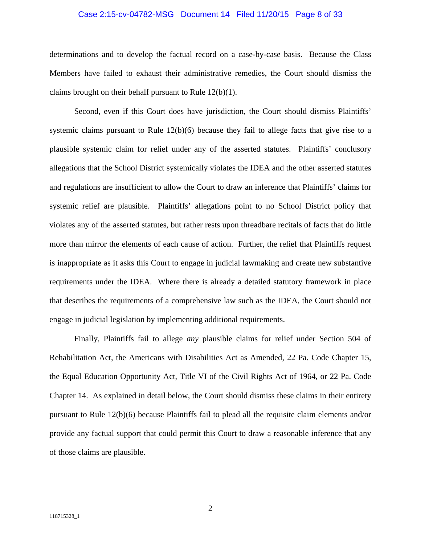#### Case 2:15-cv-04782-MSG Document 14 Filed 11/20/15 Page 8 of 33

determinations and to develop the factual record on a case-by-case basis. Because the Class Members have failed to exhaust their administrative remedies, the Court should dismiss the claims brought on their behalf pursuant to Rule 12(b)(1).

Second, even if this Court does have jurisdiction, the Court should dismiss Plaintiffs' systemic claims pursuant to Rule  $12(b)(6)$  because they fail to allege facts that give rise to a plausible systemic claim for relief under any of the asserted statutes. Plaintiffs' conclusory allegations that the School District systemically violates the IDEA and the other asserted statutes and regulations are insufficient to allow the Court to draw an inference that Plaintiffs' claims for systemic relief are plausible. Plaintiffs' allegations point to no School District policy that violates any of the asserted statutes, but rather rests upon threadbare recitals of facts that do little more than mirror the elements of each cause of action. Further, the relief that Plaintiffs request is inappropriate as it asks this Court to engage in judicial lawmaking and create new substantive requirements under the IDEA. Where there is already a detailed statutory framework in place that describes the requirements of a comprehensive law such as the IDEA, the Court should not engage in judicial legislation by implementing additional requirements.

Finally, Plaintiffs fail to allege *any* plausible claims for relief under Section 504 of Rehabilitation Act, the Americans with Disabilities Act as Amended, 22 Pa. Code Chapter 15, the Equal Education Opportunity Act, Title VI of the Civil Rights Act of 1964, or 22 Pa. Code Chapter 14. As explained in detail below, the Court should dismiss these claims in their entirety pursuant to Rule 12(b)(6) because Plaintiffs fail to plead all the requisite claim elements and/or provide any factual support that could permit this Court to draw a reasonable inference that any of those claims are plausible.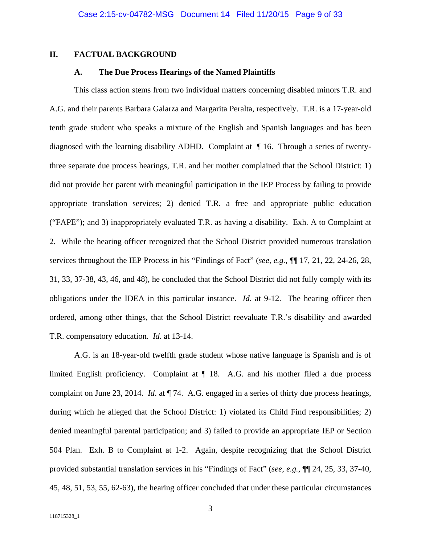## **II. FACTUAL BACKGROUND**

### **A. The Due Process Hearings of the Named Plaintiffs**

This class action stems from two individual matters concerning disabled minors T.R. and A.G. and their parents Barbara Galarza and Margarita Peralta, respectively. T.R. is a 17-year-old tenth grade student who speaks a mixture of the English and Spanish languages and has been diagnosed with the learning disability ADHD. Complaint at ¶ 16. Through a series of twentythree separate due process hearings, T.R. and her mother complained that the School District: 1) did not provide her parent with meaningful participation in the IEP Process by failing to provide appropriate translation services; 2) denied T.R. a free and appropriate public education ("FAPE"); and 3) inappropriately evaluated T.R. as having a disability. Exh. A to Complaint at 2. While the hearing officer recognized that the School District provided numerous translation services throughout the IEP Process in his "Findings of Fact" (*see*, *e.g.*, ¶¶ 17, 21, 22, 24-26, 28, 31, 33, 37-38, 43, 46, and 48), he concluded that the School District did not fully comply with its obligations under the IDEA in this particular instance. *Id*. at 9-12. The hearing officer then ordered, among other things, that the School District reevaluate T.R.'s disability and awarded T.R. compensatory education. *Id*. at 13-14.

A.G. is an 18-year-old twelfth grade student whose native language is Spanish and is of limited English proficiency. Complaint at  $\P$  18. A.G. and his mother filed a due process complaint on June 23, 2014. *Id*. at ¶ 74. A.G. engaged in a series of thirty due process hearings, during which he alleged that the School District: 1) violated its Child Find responsibilities; 2) denied meaningful parental participation; and 3) failed to provide an appropriate IEP or Section 504 Plan. Exh. B to Complaint at 1-2. Again, despite recognizing that the School District provided substantial translation services in his "Findings of Fact" (*see*, *e.g.*, ¶¶ 24, 25, 33, 37-40, 45, 48, 51, 53, 55, 62-63), the hearing officer concluded that under these particular circumstances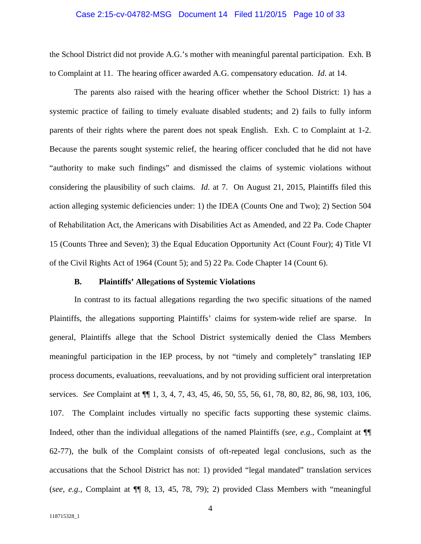#### Case 2:15-cv-04782-MSG Document 14 Filed 11/20/15 Page 10 of 33

the School District did not provide A.G.'s mother with meaningful parental participation. Exh. B to Complaint at 11. The hearing officer awarded A.G. compensatory education. *Id*. at 14.

The parents also raised with the hearing officer whether the School District: 1) has a systemic practice of failing to timely evaluate disabled students; and 2) fails to fully inform parents of their rights where the parent does not speak English. Exh. C to Complaint at 1-2. Because the parents sought systemic relief, the hearing officer concluded that he did not have "authority to make such findings" and dismissed the claims of systemic violations without considering the plausibility of such claims. *Id*. at 7. On August 21, 2015, Plaintiffs filed this action alleging systemic deficiencies under: 1) the IDEA (Counts One and Two); 2) Section 504 of Rehabilitation Act, the Americans with Disabilities Act as Amended, and 22 Pa. Code Chapter 15 (Counts Three and Seven); 3) the Equal Education Opportunity Act (Count Four); 4) Title VI of the Civil Rights Act of 1964 (Count 5); and 5) 22 Pa. Code Chapter 14 (Count 6).

#### **B. Plaintiffs' Alle**g**ations of Systemic Violations**

In contrast to its factual allegations regarding the two specific situations of the named Plaintiffs, the allegations supporting Plaintiffs' claims for system-wide relief are sparse. In general, Plaintiffs allege that the School District systemically denied the Class Members meaningful participation in the IEP process, by not "timely and completely" translating IEP process documents, evaluations, reevaluations, and by not providing sufficient oral interpretation services. *See* Complaint at ¶¶ 1, 3, 4, 7, 43, 45, 46, 50, 55, 56, 61, 78, 80, 82, 86, 98, 103, 106, 107. The Complaint includes virtually no specific facts supporting these systemic claims. Indeed, other than the individual allegations of the named Plaintiffs (*see*, *e.g.*, Complaint at ¶¶ 62-77), the bulk of the Complaint consists of oft-repeated legal conclusions, such as the accusations that the School District has not: 1) provided "legal mandated" translation services (*see*, *e.g.*, Complaint at ¶¶ 8, 13, 45, 78, 79); 2) provided Class Members with "meaningful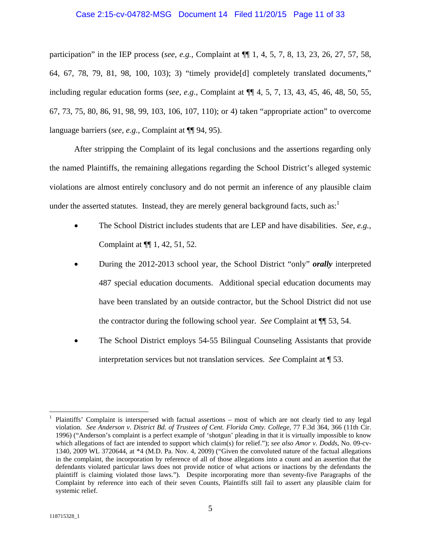#### Case 2:15-cv-04782-MSG Document 14 Filed 11/20/15 Page 11 of 33

participation" in the IEP process (*see*, *e.g.*, Complaint at ¶¶ 1, 4, 5, 7, 8, 13, 23, 26, 27, 57, 58, 64, 67, 78, 79, 81, 98, 100, 103); 3) "timely provide[d] completely translated documents," including regular education forms (*see*, *e.g.*, Complaint at ¶¶ 4, 5, 7, 13, 43, 45, 46, 48, 50, 55, 67, 73, 75, 80, 86, 91, 98, 99, 103, 106, 107, 110); or 4) taken "appropriate action" to overcome language barriers (*see, e.g.*, Complaint at ¶¶ 94, 95).

After stripping the Complaint of its legal conclusions and the assertions regarding only the named Plaintiffs, the remaining allegations regarding the School District's alleged systemic violations are almost entirely conclusory and do not permit an inference of any plausible claim under the asserted statutes. Instead, they are merely general background facts, such as: $<sup>1</sup>$ </sup>

- The School District includes students that are LEP and have disabilities. *See*, *e.g.*, Complaint at ¶¶ 1, 42, 51, 52.
- During the 2012-2013 school year, the School District "only" *orally* interpreted 487 special education documents. Additional special education documents may have been translated by an outside contractor, but the School District did not use the contractor during the following school year. *See* Complaint at ¶¶ 53, 54.
- The School District employs 54-55 Bilingual Counseling Assistants that provide interpretation services but not translation services. *See* Complaint at ¶ 53.

<sup>1</sup> Plaintiffs' Complaint is interspersed with factual assertions – most of which are not clearly tied to any legal violation. *See Anderson v. District Bd. of Trustees of Cent. Florida Cmty. College*, 77 F.3d 364, 366 (11th Cir. 1996) ("Anderson's complaint is a perfect example of 'shotgun' pleading in that it is virtually impossible to know which allegations of fact are intended to support which claim(s) for relief."); *see also Amor v. Dodds*, No. 09-cv-1340, 2009 WL 3720644, at \*4 (M.D. Pa. Nov. 4, 2009) ("Given the convoluted nature of the factual allegations in the complaint, the incorporation by reference of all of those allegations into a count and an assertion that the defendants violated particular laws does not provide notice of what actions or inactions by the defendants the plaintiff is claiming violated those laws."). Despite incorporating more than seventy-five Paragraphs of the Complaint by reference into each of their seven Counts, Plaintiffs still fail to assert any plausible claim for systemic relief.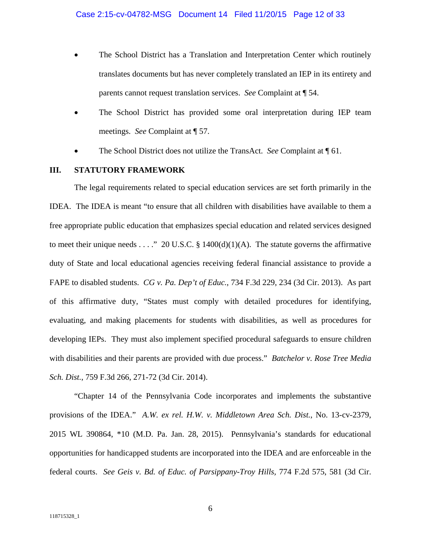- The School District has a Translation and Interpretation Center which routinely translates documents but has never completely translated an IEP in its entirety and parents cannot request translation services. *See* Complaint at ¶ 54.
- The School District has provided some oral interpretation during IEP team meetings. *See* Complaint at ¶ 57.
- The School District does not utilize the TransAct. *See* Complaint at ¶ 61.

## **III. STATUTORY FRAMEWORK**

The legal requirements related to special education services are set forth primarily in the IDEA. The IDEA is meant "to ensure that all children with disabilities have available to them a free appropriate public education that emphasizes special education and related services designed to meet their unique needs . . . ." 20 U.S.C. § 1400(d)(1)(A). The statute governs the affirmative duty of State and local educational agencies receiving federal financial assistance to provide a FAPE to disabled students. *CG v. Pa. Dep't of Educ.*, 734 F.3d 229, 234 (3d Cir. 2013). As part of this affirmative duty, "States must comply with detailed procedures for identifying, evaluating, and making placements for students with disabilities, as well as procedures for developing IEPs. They must also implement specified procedural safeguards to ensure children with disabilities and their parents are provided with due process." *Batchelor v. Rose Tree Media Sch. Dist.*, 759 F.3d 266, 271-72 (3d Cir. 2014).

"Chapter 14 of the Pennsylvania Code incorporates and implements the substantive provisions of the IDEA." *A.W. ex rel. H.W. v. Middletown Area Sch. Dist.*, No. 13-cv-2379, 2015 WL 390864, \*10 (M.D. Pa. Jan. 28, 2015). Pennsylvania's standards for educational opportunities for handicapped students are incorporated into the IDEA and are enforceable in the federal courts. *See Geis v. Bd. of Educ. of Parsippany-Troy Hills,* 774 F.2d 575, 581 (3d Cir.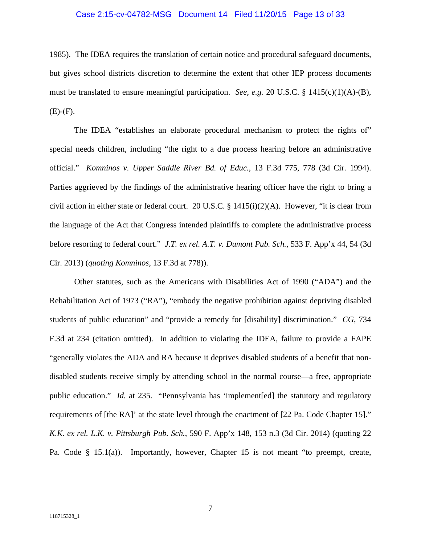#### Case 2:15-cv-04782-MSG Document 14 Filed 11/20/15 Page 13 of 33

1985). The IDEA requires the translation of certain notice and procedural safeguard documents, but gives school districts discretion to determine the extent that other IEP process documents must be translated to ensure meaningful participation. *See, e.g.* 20 U.S.C. § 1415(c)(1)(A)-(B),  $(E)-(F)$ .

The IDEA "establishes an elaborate procedural mechanism to protect the rights of" special needs children, including "the right to a due process hearing before an administrative official." *Komninos v. Upper Saddle River Bd. of Educ.*, 13 F.3d 775, 778 (3d Cir. 1994). Parties aggrieved by the findings of the administrative hearing officer have the right to bring a civil action in either state or federal court. 20 U.S.C. § 1415(i)(2)(A). However, "it is clear from the language of the Act that Congress intended plaintiffs to complete the administrative process before resorting to federal court." *J.T. ex rel. A.T. v. Dumont Pub. Sch.*, 533 F. App'x 44, 54 (3d Cir. 2013) (*quoting Komninos*, 13 F.3d at 778)).

Other statutes, such as the Americans with Disabilities Act of 1990 ("ADA") and the Rehabilitation Act of 1973 ("RA"), "embody the negative prohibition against depriving disabled students of public education" and "provide a remedy for [disability] discrimination." *CG*, 734 F.3d at 234 (citation omitted). In addition to violating the IDEA, failure to provide a FAPE "generally violates the ADA and RA because it deprives disabled students of a benefit that nondisabled students receive simply by attending school in the normal course—a free, appropriate public education." *Id.* at 235. "Pennsylvania has 'implement[ed] the statutory and regulatory requirements of [the RA]' at the state level through the enactment of [22 Pa. Code Chapter 15]." *K.K. ex rel. L.K. v. Pittsburgh Pub. Sch.*, 590 F. App'x 148, 153 n.3 (3d Cir. 2014) (quoting 22 Pa. Code § 15.1(a)). Importantly, however, Chapter 15 is not meant "to preempt, create,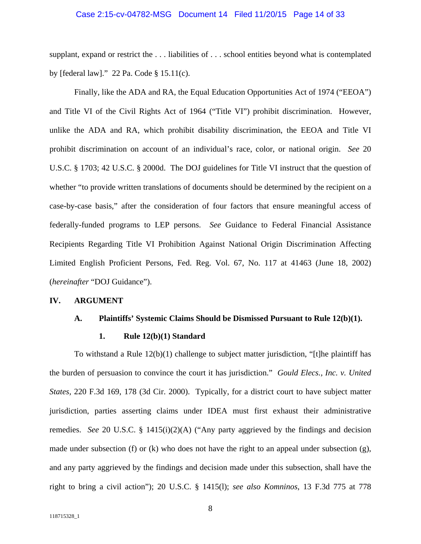#### Case 2:15-cv-04782-MSG Document 14 Filed 11/20/15 Page 14 of 33

supplant, expand or restrict the . . . liabilities of . . . school entities beyond what is contemplated by [federal law]." 22 Pa. Code § 15.11(c).

Finally, like the ADA and RA, the Equal Education Opportunities Act of 1974 ("EEOA") and Title VI of the Civil Rights Act of 1964 ("Title VI") prohibit discrimination. However, unlike the ADA and RA, which prohibit disability discrimination, the EEOA and Title VI prohibit discrimination on account of an individual's race, color, or national origin. *See* 20 U.S.C. § 1703; 42 U.S.C. § 2000d. The DOJ guidelines for Title VI instruct that the question of whether "to provide written translations of documents should be determined by the recipient on a case-by-case basis," after the consideration of four factors that ensure meaningful access of federally-funded programs to LEP persons. *See* Guidance to Federal Financial Assistance Recipients Regarding Title VI Prohibition Against National Origin Discrimination Affecting Limited English Proficient Persons, Fed. Reg. Vol. 67, No. 117 at 41463 (June 18, 2002) (*hereinafter* "DOJ Guidance").

#### **IV. ARGUMENT**

#### **A. Plaintiffs' Systemic Claims Should be Dismissed Pursuant to Rule 12(b)(1).**

#### **1. Rule 12(b)(1) Standard**

To withstand a Rule 12(b)(1) challenge to subject matter jurisdiction, "[t]he plaintiff has the burden of persuasion to convince the court it has jurisdiction." *Gould Elecs., Inc. v. United States,* 220 F.3d 169, 178 (3d Cir. 2000). Typically, for a district court to have subject matter jurisdiction, parties asserting claims under IDEA must first exhaust their administrative remedies. *See* 20 U.S.C. § 1415(i)(2)(A) ("Any party aggrieved by the findings and decision made under subsection (f) or (k) who does not have the right to an appeal under subsection (g), and any party aggrieved by the findings and decision made under this subsection, shall have the right to bring a civil action"); 20 U.S.C. § 1415(l); *see also Komninos*, 13 F.3d 775 at 778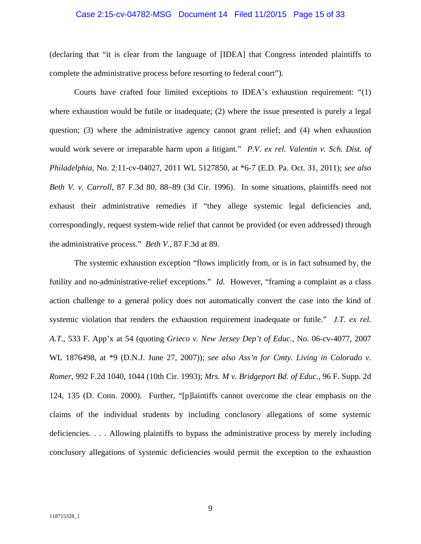#### Case 2:15-cv-04782-MSG Document 14 Filed 11/20/15 Page 15 of 33

(declaring that "it is clear from the language of [IDEA] that Congress intended plaintiffs to complete the administrative process before resorting to federal court").

Courts have crafted four limited exceptions to IDEA's exhaustion requirement: "(1) where exhaustion would be futile or inadequate; (2) where the issue presented is purely a legal question; (3) where the administrative agency cannot grant relief; and (4) when exhaustion would work severe or irreparable harm upon a litigant." *P.V. ex rel. Valentin v. Sch. Dist. of Philadelphia*, No. 2:11-cv-04027, 2011 WL 5127850, at \*6-7 (E.D. Pa. Oct. 31, 2011); *see also Beth V. v. Carroll*, 87 F.3d 80, 88–89 (3d Cir. 1996). In some situations, plaintiffs need not exhaust their administrative remedies if "they allege systemic legal deficiencies and, correspondingly, request system-wide relief that cannot be provided (or even addressed) through the administrative process." *Beth V.,* 87 F.3d at 89.

The systemic exhaustion exception "flows implicitly from, or is in fact subsumed by, the futility and no-administrative-relief exceptions." *Id.* However, "framing a complaint as a class action challenge to a general policy does not automatically convert the case into the kind of systemic violation that renders the exhaustion requirement inadequate or futile." *J.T. ex rel. A.T.*, 533 F. App'x at 54 (quoting *Grieco v. New Jersey Dep't of Educ.*, No. 06-cv-4077, 2007 WL 1876498, at \*9 (D.N.J. June 27, 2007)); *see also Ass'n for Cmty. Living in Colorado v. Romer*, 992 F.2d 1040, 1044 (10th Cir. 1993); *Mrs. M v. Bridgeport Bd. of Educ.*, 96 F. Supp. 2d 124, 135 (D. Conn. 2000). Further, "[p]laintiffs cannot overcome the clear emphasis on the claims of the individual students by including conclusory allegations of some systemic deficiencies. . . . Allowing plaintiffs to bypass the administrative process by merely including conclusory allegations of systemic deficiencies would permit the exception to the exhaustion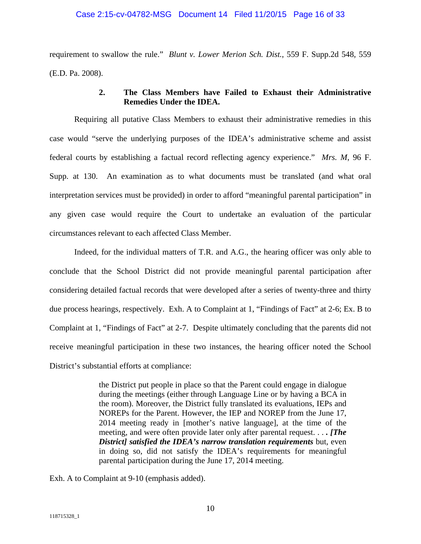#### Case 2:15-cv-04782-MSG Document 14 Filed 11/20/15 Page 16 of 33

requirement to swallow the rule." *Blunt v. Lower Merion Sch. Dist.*, 559 F. Supp.2d 548, 559 (E.D. Pa. 2008).

## **2. The Class Members have Failed to Exhaust their Administrative Remedies Under the IDEA.**

Requiring all putative Class Members to exhaust their administrative remedies in this case would "serve the underlying purposes of the IDEA's administrative scheme and assist federal courts by establishing a factual record reflecting agency experience." *Mrs. M*, 96 F. Supp. at 130. An examination as to what documents must be translated (and what oral interpretation services must be provided) in order to afford "meaningful parental participation" in any given case would require the Court to undertake an evaluation of the particular circumstances relevant to each affected Class Member.

Indeed, for the individual matters of T.R. and A.G., the hearing officer was only able to conclude that the School District did not provide meaningful parental participation after considering detailed factual records that were developed after a series of twenty-three and thirty due process hearings, respectively. Exh. A to Complaint at 1, "Findings of Fact" at 2-6; Ex. B to Complaint at 1, "Findings of Fact" at 2-7. Despite ultimately concluding that the parents did not receive meaningful participation in these two instances, the hearing officer noted the School District's substantial efforts at compliance:

> the District put people in place so that the Parent could engage in dialogue during the meetings (either through Language Line or by having a BCA in the room). Moreover, the District fully translated its evaluations, IEPs and NOREPs for the Parent. However, the IEP and NOREP from the June 17, 2014 meeting ready in [mother's native language], at the time of the meeting, and were often provide later only after parental request. . . *. [The District] satisfied the IDEA's narrow translation requirements* but, even in doing so, did not satisfy the IDEA's requirements for meaningful parental participation during the June 17, 2014 meeting.

Exh. A to Complaint at 9-10 (emphasis added).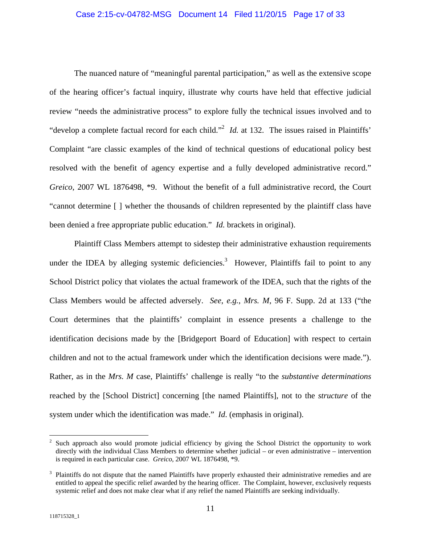#### Case 2:15-cv-04782-MSG Document 14 Filed 11/20/15 Page 17 of 33

The nuanced nature of "meaningful parental participation," as well as the extensive scope of the hearing officer's factual inquiry, illustrate why courts have held that effective judicial review "needs the administrative process" to explore fully the technical issues involved and to "develop a complete factual record for each child."<sup>2</sup> *Id.* at 132. The issues raised in Plaintiffs' Complaint "are classic examples of the kind of technical questions of educational policy best resolved with the benefit of agency expertise and a fully developed administrative record." *Greico*, 2007 WL 1876498, \*9. Without the benefit of a full administrative record, the Court "cannot determine [ ] whether the thousands of children represented by the plaintiff class have been denied a free appropriate public education." *Id.* brackets in original).

Plaintiff Class Members attempt to sidestep their administrative exhaustion requirements under the IDEA by alleging systemic deficiencies.<sup>3</sup> However, Plaintiffs fail to point to any School District policy that violates the actual framework of the IDEA, such that the rights of the Class Members would be affected adversely. *See*, *e.g.*, *Mrs. M*, 96 F. Supp. 2d at 133 ("the Court determines that the plaintiffs' complaint in essence presents a challenge to the identification decisions made by the [Bridgeport Board of Education] with respect to certain children and not to the actual framework under which the identification decisions were made."). Rather, as in the *Mrs. M* case, Plaintiffs' challenge is really "to the *substantive determinations* reached by the [School District] concerning [the named Plaintiffs], not to the *structure* of the system under which the identification was made." *Id*. (emphasis in original).

 $\frac{1}{2}$  Such approach also would promote judicial efficiency by giving the School District the opportunity to work directly with the individual Class Members to determine whether judicial – or even administrative – intervention is required in each particular case. *Greico*, 2007 WL 1876498, \*9.

<sup>&</sup>lt;sup>3</sup> Plaintiffs do not dispute that the named Plaintiffs have properly exhausted their administrative remedies and are entitled to appeal the specific relief awarded by the hearing officer. The Complaint, however, exclusively requests systemic relief and does not make clear what if any relief the named Plaintiffs are seeking individually.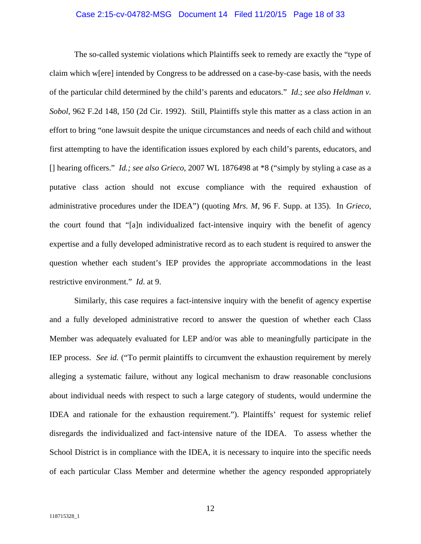#### Case 2:15-cv-04782-MSG Document 14 Filed 11/20/15 Page 18 of 33

The so-called systemic violations which Plaintiffs seek to remedy are exactly the "type of claim which w[ere] intended by Congress to be addressed on a case-by-case basis, with the needs of the particular child determined by the child's parents and educators." *Id*.; *see also Heldman v. Sobol*, 962 F.2d 148, 150 (2d Cir. 1992). Still, Plaintiffs style this matter as a class action in an effort to bring "one lawsuit despite the unique circumstances and needs of each child and without first attempting to have the identification issues explored by each child's parents, educators, and [] hearing officers." *Id.; see also Grieco*, 2007 WL 1876498 at \*8 ("simply by styling a case as a putative class action should not excuse compliance with the required exhaustion of administrative procedures under the IDEA") (quoting *Mrs. M*, 96 F. Supp. at 135). In *Grieco*, the court found that "[a]n individualized fact-intensive inquiry with the benefit of agency expertise and a fully developed administrative record as to each student is required to answer the question whether each student's IEP provides the appropriate accommodations in the least restrictive environment." *Id*. at 9.

Similarly, this case requires a fact-intensive inquiry with the benefit of agency expertise and a fully developed administrative record to answer the question of whether each Class Member was adequately evaluated for LEP and/or was able to meaningfully participate in the IEP process. *See id.* ("To permit plaintiffs to circumvent the exhaustion requirement by merely alleging a systematic failure, without any logical mechanism to draw reasonable conclusions about individual needs with respect to such a large category of students, would undermine the IDEA and rationale for the exhaustion requirement."). Plaintiffs' request for systemic relief disregards the individualized and fact-intensive nature of the IDEA. To assess whether the School District is in compliance with the IDEA, it is necessary to inquire into the specific needs of each particular Class Member and determine whether the agency responded appropriately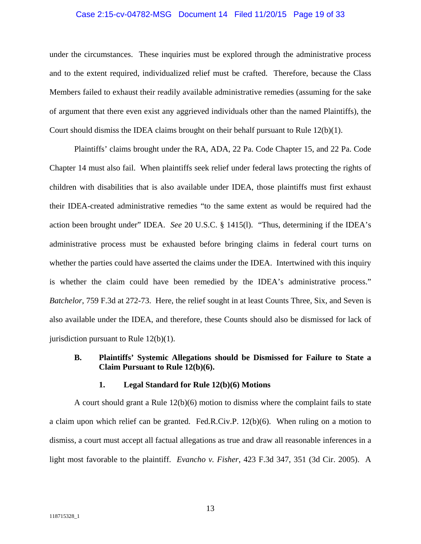#### Case 2:15-cv-04782-MSG Document 14 Filed 11/20/15 Page 19 of 33

under the circumstances. These inquiries must be explored through the administrative process and to the extent required, individualized relief must be crafted. Therefore, because the Class Members failed to exhaust their readily available administrative remedies (assuming for the sake of argument that there even exist any aggrieved individuals other than the named Plaintiffs), the Court should dismiss the IDEA claims brought on their behalf pursuant to Rule  $12(b)(1)$ .

Plaintiffs' claims brought under the RA, ADA, 22 Pa. Code Chapter 15, and 22 Pa. Code Chapter 14 must also fail. When plaintiffs seek relief under federal laws protecting the rights of children with disabilities that is also available under IDEA, those plaintiffs must first exhaust their IDEA-created administrative remedies "to the same extent as would be required had the action been brought under" IDEA. *See* 20 U.S.C. § 1415(l). "Thus, determining if the IDEA's administrative process must be exhausted before bringing claims in federal court turns on whether the parties could have asserted the claims under the IDEA. Intertwined with this inquiry is whether the claim could have been remedied by the IDEA's administrative process." *Batchelor*, 759 F.3d at 272-73. Here, the relief sought in at least Counts Three, Six, and Seven is also available under the IDEA, and therefore, these Counts should also be dismissed for lack of jurisdiction pursuant to Rule 12(b)(1).

## **B. Plaintiffs' Systemic Allegations should be Dismissed for Failure to State a Claim Pursuant to Rule 12(b)(6).**

#### **1. Legal Standard for Rule 12(b)(6) Motions**

A court should grant a Rule  $12(b)(6)$  motion to dismiss where the complaint fails to state a claim upon which relief can be granted. Fed.R.Civ.P. 12(b)(6). When ruling on a motion to dismiss, a court must accept all factual allegations as true and draw all reasonable inferences in a light most favorable to the plaintiff. *Evancho v. Fisher*, 423 F.3d 347, 351 (3d Cir. 2005). A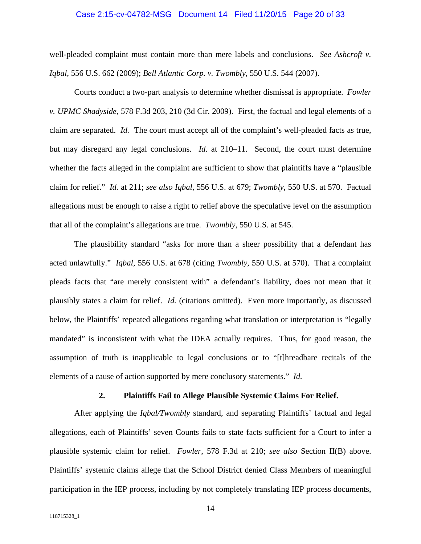#### Case 2:15-cv-04782-MSG Document 14 Filed 11/20/15 Page 20 of 33

well-pleaded complaint must contain more than mere labels and conclusions. *See Ashcroft v. Iqbal*, 556 U.S. 662 (2009); *Bell Atlantic Corp. v. Twombly*, 550 U.S. 544 (2007).

Courts conduct a two-part analysis to determine whether dismissal is appropriate. *Fowler v. UPMC Shadyside*, 578 F.3d 203, 210 (3d Cir. 2009). First, the factual and legal elements of a claim are separated. *Id.* The court must accept all of the complaint's well-pleaded facts as true, but may disregard any legal conclusions. *Id.* at 210–11. Second, the court must determine whether the facts alleged in the complaint are sufficient to show that plaintiffs have a "plausible claim for relief." *Id.* at 211; *see also Iqbal*, 556 U.S. at 679; *Twombly*, 550 U.S. at 570. Factual allegations must be enough to raise a right to relief above the speculative level on the assumption that all of the complaint's allegations are true. *Twombly*, 550 U.S. at 545.

The plausibility standard "asks for more than a sheer possibility that a defendant has acted unlawfully." *Iqbal*, 556 U.S. at 678 (citing *Twombly*, 550 U.S. at 570). That a complaint pleads facts that "are merely consistent with" a defendant's liability, does not mean that it plausibly states a claim for relief. *Id.* (citations omitted). Even more importantly, as discussed below, the Plaintiffs' repeated allegations regarding what translation or interpretation is "legally mandated" is inconsistent with what the IDEA actually requires. Thus, for good reason, the assumption of truth is inapplicable to legal conclusions or to "[t]hreadbare recitals of the elements of a cause of action supported by mere conclusory statements." *Id.* 

#### **2. Plaintiffs Fail to Allege Plausible Systemic Claims For Relief.**

After applying the *Iqbal/Twombly* standard, and separating Plaintiffs' factual and legal allegations, each of Plaintiffs' seven Counts fails to state facts sufficient for a Court to infer a plausible systemic claim for relief. *Fowler*, 578 F.3d at 210; *see also* Section II(B) above. Plaintiffs' systemic claims allege that the School District denied Class Members of meaningful participation in the IEP process, including by not completely translating IEP process documents,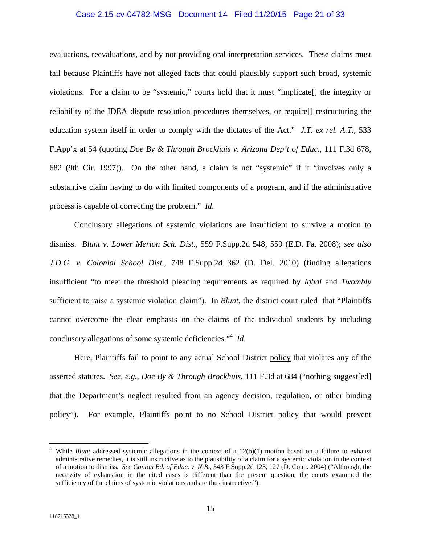#### Case 2:15-cv-04782-MSG Document 14 Filed 11/20/15 Page 21 of 33

evaluations, reevaluations, and by not providing oral interpretation services. These claims must fail because Plaintiffs have not alleged facts that could plausibly support such broad, systemic violations. For a claim to be "systemic," courts hold that it must "implicate[] the integrity or reliability of the IDEA dispute resolution procedures themselves, or require[] restructuring the education system itself in order to comply with the dictates of the Act." *J.T. ex rel. A.T.*, 533 F.App'x at 54 (quoting *Doe By & Through Brockhuis v. Arizona Dep't of Educ.*, 111 F.3d 678, 682 (9th Cir. 1997)). On the other hand, a claim is not "systemic" if it "involves only a substantive claim having to do with limited components of a program, and if the administrative process is capable of correcting the problem." *Id*.

Conclusory allegations of systemic violations are insufficient to survive a motion to dismiss. *Blunt v. Lower Merion Sch. Dist.*, 559 F.Supp.2d 548, 559 (E.D. Pa. 2008); *see also J.D.G. v. Colonial School Dist.*, 748 F.Supp.2d 362 (D. Del. 2010) (finding allegations insufficient "to meet the threshold pleading requirements as required by *Iqbal* and *Twombly* sufficient to raise a systemic violation claim"). In *Blunt*, the district court ruled that "Plaintiffs cannot overcome the clear emphasis on the claims of the individual students by including conclusory allegations of some systemic deficiencies."<sup>4</sup> *Id*.

Here, Plaintiffs fail to point to any actual School District policy that violates any of the asserted statutes. *See*, *e.g.*, *Doe By & Through Brockhuis*, 111 F.3d at 684 ("nothing suggest[ed] that the Department's neglect resulted from an agency decision, regulation, or other binding policy"). For example, Plaintiffs point to no School District policy that would prevent

 $\overline{a}$ 

<sup>4</sup> While *Blunt* addressed systemic allegations in the context of a 12(b)(1) motion based on a failure to exhaust administrative remedies, it is still instructive as to the plausibility of a claim for a systemic violation in the context of a motion to dismiss. *See Canton Bd. of Educ. v. N.B.*, 343 F.Supp.2d 123, 127 (D. Conn. 2004) ("Although, the necessity of exhaustion in the cited cases is different than the present question, the courts examined the sufficiency of the claims of systemic violations and are thus instructive.").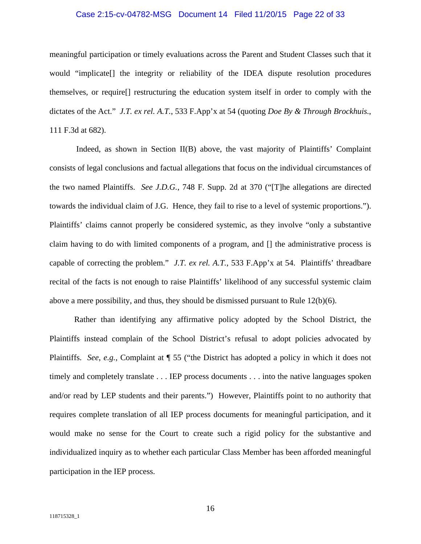#### Case 2:15-cv-04782-MSG Document 14 Filed 11/20/15 Page 22 of 33

meaningful participation or timely evaluations across the Parent and Student Classes such that it would "implicate[] the integrity or reliability of the IDEA dispute resolution procedures themselves, or require[] restructuring the education system itself in order to comply with the dictates of the Act." *J.T. ex rel. A.T.*, 533 F.App'x at 54 (quoting *Doe By & Through Brockhuis.*, 111 F.3d at 682).

 Indeed, as shown in Section II(B) above, the vast majority of Plaintiffs' Complaint consists of legal conclusions and factual allegations that focus on the individual circumstances of the two named Plaintiffs. *See J.D.G.*, 748 F. Supp. 2d at 370 ("[T]he allegations are directed towards the individual claim of J.G. Hence, they fail to rise to a level of systemic proportions."). Plaintiffs' claims cannot properly be considered systemic, as they involve "only a substantive claim having to do with limited components of a program, and [] the administrative process is capable of correcting the problem." *J.T. ex rel. A.T.*, 533 F.App'x at 54. Plaintiffs' threadbare recital of the facts is not enough to raise Plaintiffs' likelihood of any successful systemic claim above a mere possibility, and thus, they should be dismissed pursuant to Rule  $12(b)(6)$ .

Rather than identifying any affirmative policy adopted by the School District, the Plaintiffs instead complain of the School District's refusal to adopt policies advocated by Plaintiffs. *See*, *e.g.*, Complaint at ¶ 55 ("the District has adopted a policy in which it does not timely and completely translate . . . IEP process documents . . . into the native languages spoken and/or read by LEP students and their parents.") However, Plaintiffs point to no authority that requires complete translation of all IEP process documents for meaningful participation, and it would make no sense for the Court to create such a rigid policy for the substantive and individualized inquiry as to whether each particular Class Member has been afforded meaningful participation in the IEP process.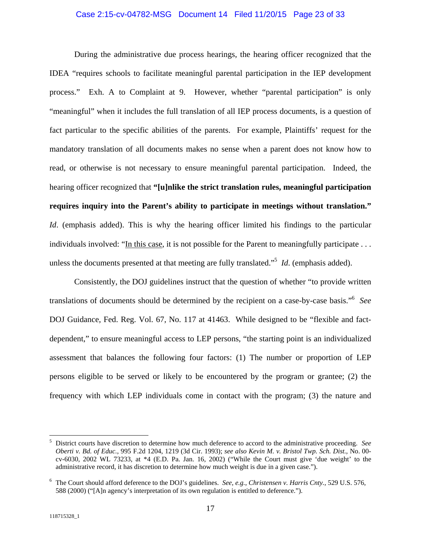#### Case 2:15-cv-04782-MSG Document 14 Filed 11/20/15 Page 23 of 33

During the administrative due process hearings, the hearing officer recognized that the IDEA "requires schools to facilitate meaningful parental participation in the IEP development process." Exh. A to Complaint at 9. However, whether "parental participation" is only "meaningful" when it includes the full translation of all IEP process documents, is a question of fact particular to the specific abilities of the parents. For example, Plaintiffs' request for the mandatory translation of all documents makes no sense when a parent does not know how to read, or otherwise is not necessary to ensure meaningful parental participation. Indeed, the hearing officer recognized that **"[u]nlike the strict translation rules, meaningful participation requires inquiry into the Parent's ability to participate in meetings without translation."** *Id.* (emphasis added). This is why the hearing officer limited his findings to the particular individuals involved: "In this case, it is not possible for the Parent to meaningfully participate . . . unless the documents presented at that meeting are fully translated."5 *Id*. (emphasis added).

Consistently, the DOJ guidelines instruct that the question of whether "to provide written translations of documents should be determined by the recipient on a case-by-case basis."6 *See*  DOJ Guidance, Fed. Reg. Vol. 67, No. 117 at 41463. While designed to be "flexible and factdependent," to ensure meaningful access to LEP persons, "the starting point is an individualized assessment that balances the following four factors: (1) The number or proportion of LEP persons eligible to be served or likely to be encountered by the program or grantee; (2) the frequency with which LEP individuals come in contact with the program; (3) the nature and

<u>.</u>

<sup>5</sup> District courts have discretion to determine how much deference to accord to the administrative proceeding. *See Oberti v. Bd. of Educ.*, 995 F.2d 1204, 1219 (3d Cir. 1993); *see also Kevin M. v. Bristol Twp. Sch. Dist.*, No. 00 cv-6030, 2002 WL 73233, at \*4 (E.D. Pa. Jan. 16, 2002) ("While the Court must give 'due weight' to the administrative record, it has discretion to determine how much weight is due in a given case.").

<sup>6</sup> The Court should afford deference to the DOJ's guidelines. *See*, *e.g.*, *Christensen v. Harris Cnty.*, 529 U.S. 576, 588 (2000) ("[A]n agency's interpretation of its own regulation is entitled to deference.").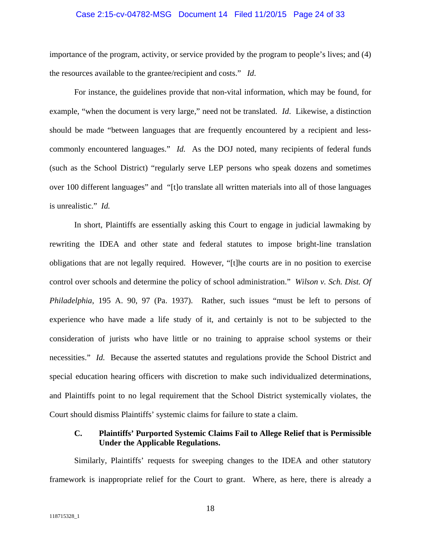#### Case 2:15-cv-04782-MSG Document 14 Filed 11/20/15 Page 24 of 33

importance of the program, activity, or service provided by the program to people's lives; and (4) the resources available to the grantee/recipient and costs." *Id*.

For instance, the guidelines provide that non-vital information, which may be found, for example, "when the document is very large," need not be translated. *Id*. Likewise, a distinction should be made "between languages that are frequently encountered by a recipient and lesscommonly encountered languages." *Id.* As the DOJ noted, many recipients of federal funds (such as the School District) "regularly serve LEP persons who speak dozens and sometimes over 100 different languages" and "[t]o translate all written materials into all of those languages is unrealistic." *Id.* 

In short, Plaintiffs are essentially asking this Court to engage in judicial lawmaking by rewriting the IDEA and other state and federal statutes to impose bright-line translation obligations that are not legally required. However, "[t]he courts are in no position to exercise control over schools and determine the policy of school administration." *Wilson v. Sch. Dist. Of Philadelphia*, 195 A. 90, 97 (Pa. 1937). Rather, such issues "must be left to persons of experience who have made a life study of it, and certainly is not to be subjected to the consideration of jurists who have little or no training to appraise school systems or their necessities." *Id.* Because the asserted statutes and regulations provide the School District and special education hearing officers with discretion to make such individualized determinations, and Plaintiffs point to no legal requirement that the School District systemically violates, the Court should dismiss Plaintiffs' systemic claims for failure to state a claim.

### **C. Plaintiffs' Purported Systemic Claims Fail to Allege Relief that is Permissible Under the Applicable Regulations.**

Similarly, Plaintiffs' requests for sweeping changes to the IDEA and other statutory framework is inappropriate relief for the Court to grant. Where, as here, there is already a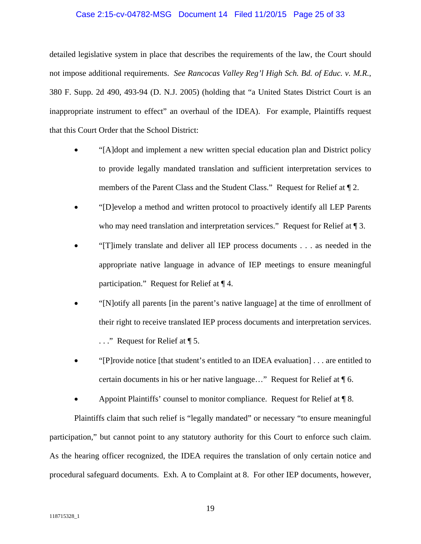#### Case 2:15-cv-04782-MSG Document 14 Filed 11/20/15 Page 25 of 33

detailed legislative system in place that describes the requirements of the law, the Court should not impose additional requirements. *See Rancocas Valley Reg'l High Sch. Bd. of Educ. v. M.R.*, 380 F. Supp. 2d 490, 493-94 (D. N.J. 2005) (holding that "a United States District Court is an inappropriate instrument to effect" an overhaul of the IDEA). For example, Plaintiffs request that this Court Order that the School District:

- "[A]dopt and implement a new written special education plan and District policy to provide legally mandated translation and sufficient interpretation services to members of the Parent Class and the Student Class." Request for Relief at ¶ 2.
- "[D]evelop a method and written protocol to proactively identify all LEP Parents who may need translation and interpretation services." Request for Relief at  $\P$  3.
- "[T]imely translate and deliver all IEP process documents . . . as needed in the appropriate native language in advance of IEP meetings to ensure meaningful participation." Request for Relief at ¶ 4.
- "[N]otify all parents [in the parent's native language] at the time of enrollment of their right to receive translated IEP process documents and interpretation services. ..." Request for Relief at ¶ 5.
- "[P]rovide notice [that student's entitled to an IDEA evaluation] . . . are entitled to certain documents in his or her native language…" Request for Relief at ¶ 6.
- Appoint Plaintiffs' counsel to monitor compliance. Request for Relief at ¶ 8.

Plaintiffs claim that such relief is "legally mandated" or necessary "to ensure meaningful participation," but cannot point to any statutory authority for this Court to enforce such claim. As the hearing officer recognized, the IDEA requires the translation of only certain notice and procedural safeguard documents. Exh. A to Complaint at 8. For other IEP documents, however,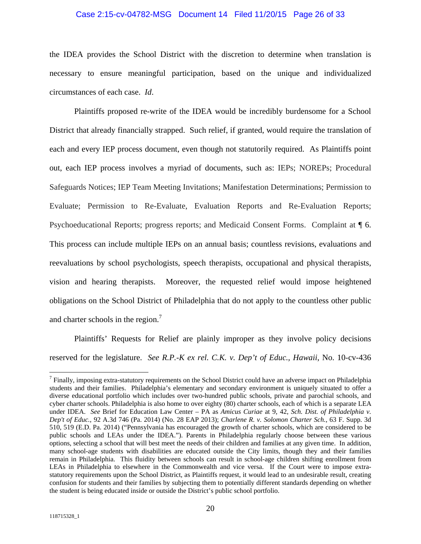#### Case 2:15-cv-04782-MSG Document 14 Filed 11/20/15 Page 26 of 33

the IDEA provides the School District with the discretion to determine when translation is necessary to ensure meaningful participation, based on the unique and individualized circumstances of each case. *Id*.

Plaintiffs proposed re-write of the IDEA would be incredibly burdensome for a School District that already financially strapped. Such relief, if granted, would require the translation of each and every IEP process document, even though not statutorily required. As Plaintiffs point out, each IEP process involves a myriad of documents, such as: IEPs; NOREPs; Procedural Safeguards Notices; IEP Team Meeting Invitations; Manifestation Determinations; Permission to Evaluate; Permission to Re-Evaluate, Evaluation Reports and Re-Evaluation Reports; Psychoeducational Reports; progress reports; and Medicaid Consent Forms. Complaint at ¶ 6. This process can include multiple IEPs on an annual basis; countless revisions, evaluations and reevaluations by school psychologists, speech therapists, occupational and physical therapists, vision and hearing therapists. Moreover, the requested relief would impose heightened obligations on the School District of Philadelphia that do not apply to the countless other public and charter schools in the region.<sup>7</sup>

Plaintiffs' Requests for Relief are plainly improper as they involve policy decisions reserved for the legislature. *See R.P.-K ex rel. C.K. v. Dep't of Educ., Hawaii*, No. 10-cv-436

 $\overline{a}$ 

<sup>&</sup>lt;sup>7</sup> Finally, imposing extra-statutory requirements on the School District could have an adverse impact on Philadelphia students and their families. Philadelphia's elementary and secondary environment is uniquely situated to offer a diverse educational portfolio which includes over two-hundred public schools, private and parochial schools, and cyber charter schools. Philadelphia is also home to over eighty (80) charter schools, each of which is a separate LEA under IDEA. *See* Brief for Education Law Center – PA as *Amicus Curiae* at 9, 42, *Sch. Dist. of Philadelphia v. Dep't of Educ.*, 92 A.3d 746 (Pa. 2014) (No. 28 EAP 2013); *Charlene R. v. Solomon Charter Sch.*, 63 F. Supp. 3d 510, 519 (E.D. Pa. 2014) ("Pennsylvania has encouraged the growth of charter schools, which are considered to be public schools and LEAs under the IDEA."). Parents in Philadelphia regularly choose between these various options, selecting a school that will best meet the needs of their children and families at any given time. In addition, many school-age students with disabilities are educated outside the City limits, though they and their families remain in Philadelphia. This fluidity between schools can result in school-age children shifting enrollment from LEAs in Philadelphia to elsewhere in the Commonwealth and vice versa. If the Court were to impose extrastatutory requirements upon the School District, as Plaintiffs request, it would lead to an undesirable result, creating confusion for students and their families by subjecting them to potentially different standards depending on whether the student is being educated inside or outside the District's public school portfolio.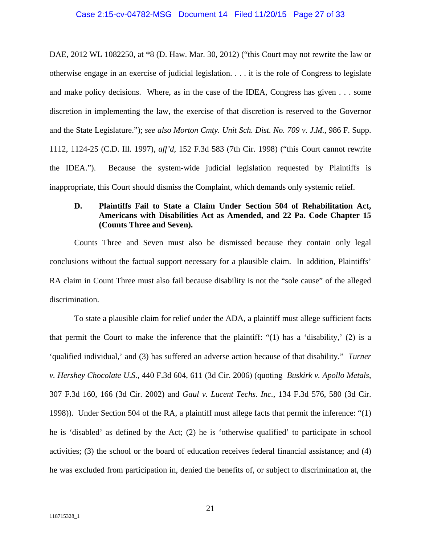#### Case 2:15-cv-04782-MSG Document 14 Filed 11/20/15 Page 27 of 33

DAE, 2012 WL 1082250, at \*8 (D. Haw. Mar. 30, 2012) ("this Court may not rewrite the law or otherwise engage in an exercise of judicial legislation. . . . it is the role of Congress to legislate and make policy decisions. Where, as in the case of the IDEA, Congress has given . . . some discretion in implementing the law, the exercise of that discretion is reserved to the Governor and the State Legislature."); *see also Morton Cmty. Unit Sch. Dist. No. 709 v. J.M.*, 986 F. Supp. 1112, 1124-25 (C.D. Ill. 1997), *aff'd*, 152 F.3d 583 (7th Cir. 1998) ("this Court cannot rewrite the IDEA."). Because the system-wide judicial legislation requested by Plaintiffs is inappropriate, this Court should dismiss the Complaint, which demands only systemic relief.

## **D. Plaintiffs Fail to State a Claim Under Section 504 of Rehabilitation Act, Americans with Disabilities Act as Amended, and 22 Pa. Code Chapter 15 (Counts Three and Seven).**

Counts Three and Seven must also be dismissed because they contain only legal conclusions without the factual support necessary for a plausible claim. In addition, Plaintiffs' RA claim in Count Three must also fail because disability is not the "sole cause" of the alleged discrimination.

To state a plausible claim for relief under the ADA, a plaintiff must allege sufficient facts that permit the Court to make the inference that the plaintiff: " $(1)$  has a 'disability,'  $(2)$  is a 'qualified individual,' and (3) has suffered an adverse action because of that disability." *Turner v. Hershey Chocolate U.S.,* 440 F.3d 604, 611 (3d Cir. 2006) (quoting *Buskirk v. Apollo Metals*, 307 F.3d 160, 166 (3d Cir. 2002) and *Gaul v. Lucent Techs. Inc.*, 134 F.3d 576, 580 (3d Cir. 1998)). Under Section 504 of the RA, a plaintiff must allege facts that permit the inference: "(1) he is 'disabled' as defined by the Act; (2) he is 'otherwise qualified' to participate in school activities; (3) the school or the board of education receives federal financial assistance; and (4) he was excluded from participation in, denied the benefits of, or subject to discrimination at, the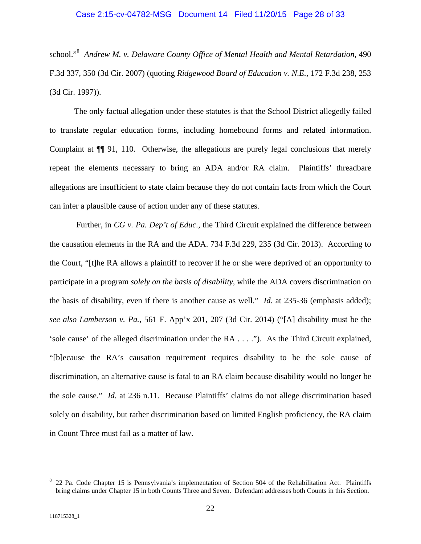school."8 *Andrew M. v. Delaware County Office of Mental Health and Mental Retardation*, 490 F.3d 337, 350 (3d Cir. 2007) (quoting *Ridgewood Board of Education v. N.E.,* 172 F.3d 238, 253 (3d Cir. 1997)).

The only factual allegation under these statutes is that the School District allegedly failed to translate regular education forms, including homebound forms and related information. Complaint at ¶¶ 91, 110. Otherwise, the allegations are purely legal conclusions that merely repeat the elements necessary to bring an ADA and/or RA claim. Plaintiffs' threadbare allegations are insufficient to state claim because they do not contain facts from which the Court can infer a plausible cause of action under any of these statutes.

 Further, in *CG v. Pa. Dep't of Educ.*, the Third Circuit explained the difference between the causation elements in the RA and the ADA. 734 F.3d 229, 235 (3d Cir. 2013). According to the Court, "[t]he RA allows a plaintiff to recover if he or she were deprived of an opportunity to participate in a program *solely on the basis of disability*, while the ADA covers discrimination on the basis of disability, even if there is another cause as well." *Id.* at 235-36 (emphasis added); *see also Lamberson v. Pa.*, 561 F. App'x 201, 207 (3d Cir. 2014) ("[A] disability must be the 'sole cause' of the alleged discrimination under the RA . . . ."). As the Third Circuit explained, "[b]ecause the RA's causation requirement requires disability to be the sole cause of discrimination, an alternative cause is fatal to an RA claim because disability would no longer be the sole cause." *Id.* at 236 n.11. Because Plaintiffs' claims do not allege discrimination based solely on disability, but rather discrimination based on limited English proficiency, the RA claim in Count Three must fail as a matter of law.

<sup>8</sup> 22 Pa. Code Chapter 15 is Pennsylvania's implementation of Section 504 of the Rehabilitation Act. Plaintiffs bring claims under Chapter 15 in both Counts Three and Seven. Defendant addresses both Counts in this Section.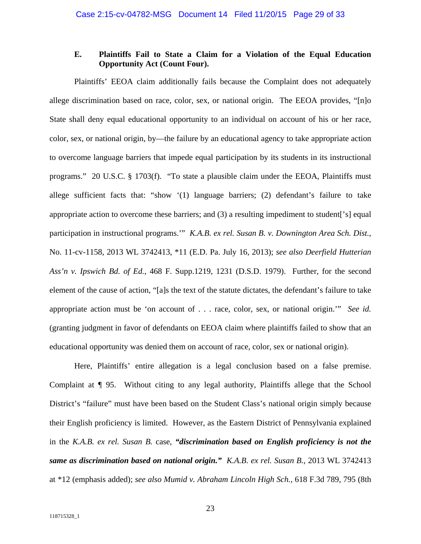## **E. Plaintiffs Fail to State a Claim for a Violation of the Equal Education Opportunity Act (Count Four).**

Plaintiffs' EEOA claim additionally fails because the Complaint does not adequately allege discrimination based on race, color, sex, or national origin. The EEOA provides, "[n]o State shall deny equal educational opportunity to an individual on account of his or her race, color, sex, or national origin, by—the failure by an educational agency to take appropriate action to overcome language barriers that impede equal participation by its students in its instructional programs." 20 U.S.C. § 1703(f). "To state a plausible claim under the EEOA, Plaintiffs must allege sufficient facts that: "show '(1) language barriers; (2) defendant's failure to take appropriate action to overcome these barriers; and (3) a resulting impediment to student['s] equal participation in instructional programs.'" *K.A.B. ex rel. Susan B. v. Downington Area Sch. Dist.*, No. 11-cv-1158, 2013 WL 3742413, \*11 (E.D. Pa. July 16, 2013); *see also Deerfield Hutterian Ass'n v. Ipswich Bd. of Ed.*, 468 F. Supp.1219, 1231 (D.S.D. 1979). Further, for the second element of the cause of action, "[a]s the text of the statute dictates, the defendant's failure to take appropriate action must be 'on account of . . . race, color, sex, or national origin.'" *See id.* (granting judgment in favor of defendants on EEOA claim where plaintiffs failed to show that an educational opportunity was denied them on account of race, color, sex or national origin).

Here, Plaintiffs' entire allegation is a legal conclusion based on a false premise. Complaint at ¶ 95. Without citing to any legal authority, Plaintiffs allege that the School District's "failure" must have been based on the Student Class's national origin simply because their English proficiency is limited. However, as the Eastern District of Pennsylvania explained in the *K.A.B. ex rel. Susan B.* case, *"discrimination based on English proficiency is not the same as discrimination based on national origin." K.A.B. ex rel. Susan B.*, 2013 WL 3742413 at \*12 (emphasis added); *see also Mumid v. Abraham Lincoln High Sch.*, 618 F.3d 789, 795 (8th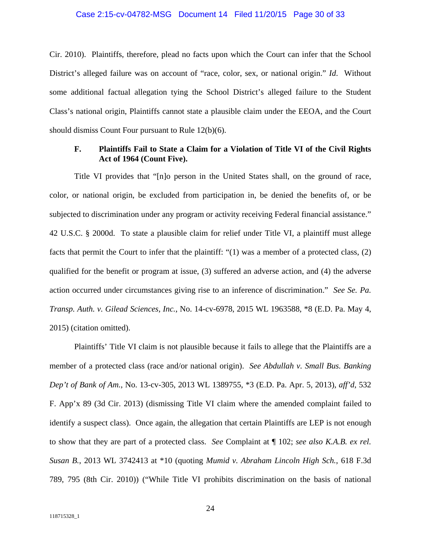#### Case 2:15-cv-04782-MSG Document 14 Filed 11/20/15 Page 30 of 33

Cir. 2010). Plaintiffs, therefore, plead no facts upon which the Court can infer that the School District's alleged failure was on account of "race, color, sex, or national origin." *Id*. Without some additional factual allegation tying the School District's alleged failure to the Student Class's national origin, Plaintiffs cannot state a plausible claim under the EEOA, and the Court should dismiss Count Four pursuant to Rule 12(b)(6).

## **F. Plaintiffs Fail to State a Claim for a Violation of Title VI of the Civil Rights Act of 1964 (Count Five).**

Title VI provides that "[n]o person in the United States shall, on the ground of race, color, or national origin, be excluded from participation in, be denied the benefits of, or be subjected to discrimination under any program or activity receiving Federal financial assistance." 42 U.S.C. § 2000d. To state a plausible claim for relief under Title VI, a plaintiff must allege facts that permit the Court to infer that the plaintiff: "(1) was a member of a protected class, (2) qualified for the benefit or program at issue, (3) suffered an adverse action, and (4) the adverse action occurred under circumstances giving rise to an inference of discrimination." *See Se. Pa. Transp. Auth. v. Gilead Sciences, Inc.*, No. 14-cv-6978, 2015 WL 1963588, \*8 (E.D. Pa. May 4, 2015) (citation omitted).

Plaintiffs' Title VI claim is not plausible because it fails to allege that the Plaintiffs are a member of a protected class (race and/or national origin). *See Abdullah v. Small Bus. Banking Dep't of Bank of Am.*, No. 13-cv-305, 2013 WL 1389755, \*3 (E.D. Pa. Apr. 5, 2013), *aff'd*, 532 F. App'x 89 (3d Cir. 2013) (dismissing Title VI claim where the amended complaint failed to identify a suspect class). Once again, the allegation that certain Plaintiffs are LEP is not enough to show that they are part of a protected class. *See* Complaint at ¶ 102; *see also K.A.B. ex rel. Susan B.*, 2013 WL 3742413 at \*10 (quoting *Mumid v. Abraham Lincoln High Sch.*, 618 F.3d 789, 795 (8th Cir. 2010)) ("While Title VI prohibits discrimination on the basis of national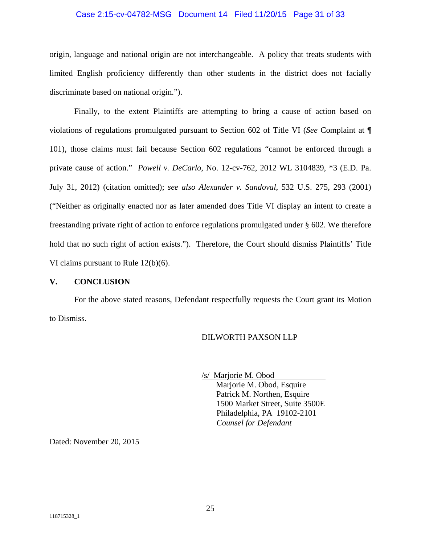#### Case 2:15-cv-04782-MSG Document 14 Filed 11/20/15 Page 31 of 33

origin, language and national origin are not interchangeable. A policy that treats students with limited English proficiency differently than other students in the district does not facially discriminate based on national origin.").

Finally, to the extent Plaintiffs are attempting to bring a cause of action based on violations of regulations promulgated pursuant to Section 602 of Title VI (*See* Complaint at ¶ 101), those claims must fail because Section 602 regulations "cannot be enforced through a private cause of action." *Powell v. DeCarlo*, No. 12-cv-762, 2012 WL 3104839, \*3 (E.D. Pa. July 31, 2012) (citation omitted); *see also Alexander v. Sandoval*, 532 U.S. 275, 293 (2001) ("Neither as originally enacted nor as later amended does Title VI display an intent to create a freestanding private right of action to enforce regulations promulgated under § 602. We therefore hold that no such right of action exists."). Therefore, the Court should dismiss Plaintiffs' Title VI claims pursuant to Rule 12(b)(6).

#### **V. CONCLUSION**

For the above stated reasons, Defendant respectfully requests the Court grant its Motion to Dismiss.

#### DILWORTH PAXSON LLP

/s/ Marjorie M. Obod

 Marjorie M. Obod, Esquire Patrick M. Northen, Esquire 1500 Market Street, Suite 3500E Philadelphia, PA 19102-2101 *Counsel for Defendant* 

Dated: November 20, 2015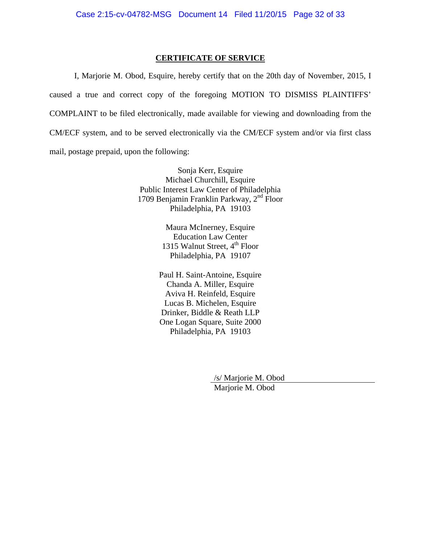### **CERTIFICATE OF SERVICE**

I, Marjorie M. Obod, Esquire, hereby certify that on the 20th day of November, 2015, I caused a true and correct copy of the foregoing MOTION TO DISMISS PLAINTIFFS' COMPLAINT to be filed electronically, made available for viewing and downloading from the CM/ECF system, and to be served electronically via the CM/ECF system and/or via first class mail, postage prepaid, upon the following:

> Sonja Kerr, Esquire Michael Churchill, Esquire Public Interest Law Center of Philadelphia 1709 Benjamin Franklin Parkway, 2nd Floor Philadelphia, PA 19103

> > Maura McInerney, Esquire Education Law Center 1315 Walnut Street,  $4^{\text{th}}$  Floor Philadelphia, PA 19107

Paul H. Saint-Antoine, Esquire Chanda A. Miller, Esquire Aviva H. Reinfeld, Esquire Lucas B. Michelen, Esquire Drinker, Biddle & Reath LLP One Logan Square, Suite 2000 Philadelphia, PA 19103

> /s/ Marjorie M. Obod Marjorie M. Obod